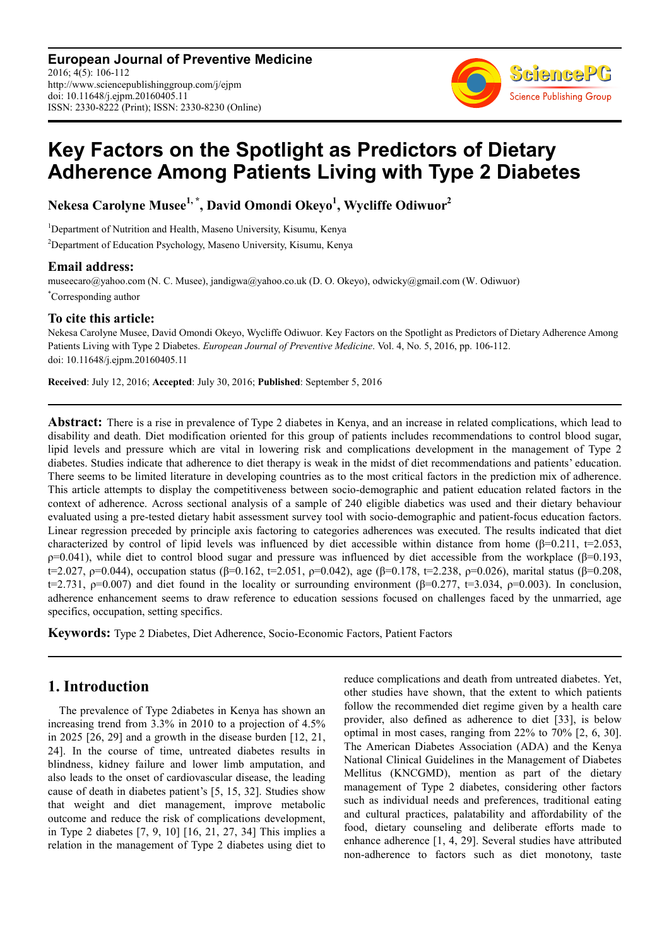**European Journal of Preventive Medicine** 2016; 4(5): 106-112 http://www.sciencepublishinggroup.com/j/ejpm doi: 10.11648/j.ejpm.20160405.11 ISSN: 2330-8222 (Print); ISSN: 2330-8230 (Online)



# **Key Factors on the Spotlight as Predictors of Dietary Adherence Among Patients Living with Type 2 Diabetes**

**Nekesa Carolyne Musee1, \*, David Omondi Okeyo<sup>1</sup> , Wycliffe Odiwuor<sup>2</sup>**

<sup>1</sup>Department of Nutrition and Health, Maseno University, Kisumu, Kenya <sup>2</sup>Department of Education Psychology, Maseno University, Kisumu, Kenya

### **Email address:**

museecaro@yahoo.com (N. C. Musee), jandigwa@yahoo.co.uk (D. O. Okeyo), odwicky@gmail.com (W. Odiwuor) \*Corresponding author

### **To cite this article:**

Nekesa Carolyne Musee, David Omondi Okeyo, Wycliffe Odiwuor. Key Factors on the Spotlight as Predictors of Dietary Adherence Among Patients Living with Type 2 Diabetes. *European Journal of Preventive Medicine*. Vol. 4, No. 5, 2016, pp. 106-112. doi: 10.11648/j.ejpm.20160405.11

**Received**: July 12, 2016; **Accepted**: July 30, 2016; **Published**: September 5, 2016

**Abstract:** There is a rise in prevalence of Type 2 diabetes in Kenya, and an increase in related complications, which lead to disability and death. Diet modification oriented for this group of patients includes recommendations to control blood sugar, lipid levels and pressure which are vital in lowering risk and complications development in the management of Type 2 diabetes. Studies indicate that adherence to diet therapy is weak in the midst of diet recommendations and patients' education. There seems to be limited literature in developing countries as to the most critical factors in the prediction mix of adherence. This article attempts to display the competitiveness between socio-demographic and patient education related factors in the context of adherence. Across sectional analysis of a sample of 240 eligible diabetics was used and their dietary behaviour evaluated using a pre-tested dietary habit assessment survey tool with socio-demographic and patient-focus education factors. Linear regression preceded by principle axis factoring to categories adherences was executed. The results indicated that diet characterized by control of lipid levels was influenced by diet accessible within distance from home ( $\beta$ =0.211, t=2.053,  $ρ=0.041$ ), while diet to control blood sugar and pressure was influenced by diet accessible from the workplace (β=0.193, t=2.027, ρ=0.044), occupation status (β=0.162, t=2.051, ρ=0.042), age (β=0.178, t=2.238, ρ=0.026), marital status (β=0.208, t=2.731,  $\rho$ =0.007) and diet found in the locality or surrounding environment ( $\beta$ =0.277, t=3.034,  $\rho$ =0.003). In conclusion, adherence enhancement seems to draw reference to education sessions focused on challenges faced by the unmarried, age specifics, occupation, setting specifics.

**Keywords:** Type 2 Diabetes, Diet Adherence, Socio-Economic Factors, Patient Factors

## **1. Introduction**

The prevalence of Type 2diabetes in Kenya has shown an increasing trend from 3.3% in 2010 to a projection of 4.5% in 2025 [26, 29] and a growth in the disease burden [12, 21, 24]. In the course of time, untreated diabetes results in blindness, kidney failure and lower limb amputation, and also leads to the onset of cardiovascular disease, the leading cause of death in diabetes patient's [5, 15, 32]. Studies show that weight and diet management, improve metabolic outcome and reduce the risk of complications development, in Type 2 diabetes [7, 9, 10] [16, 21, 27, 34] This implies a relation in the management of Type 2 diabetes using diet to reduce complications and death from untreated diabetes. Yet, other studies have shown, that the extent to which patients follow the recommended diet regime given by a health care provider, also defined as adherence to diet [33], is below optimal in most cases, ranging from 22% to 70% [2, 6, 30]. The American Diabetes Association (ADA) and the Kenya National Clinical Guidelines in the Management of Diabetes Mellitus (KNCGMD), mention as part of the dietary management of Type 2 diabetes, considering other factors such as individual needs and preferences, traditional eating and cultural practices, palatability and affordability of the food, dietary counseling and deliberate efforts made to enhance adherence [1, 4, 29]. Several studies have attributed non-adherence to factors such as diet monotony, taste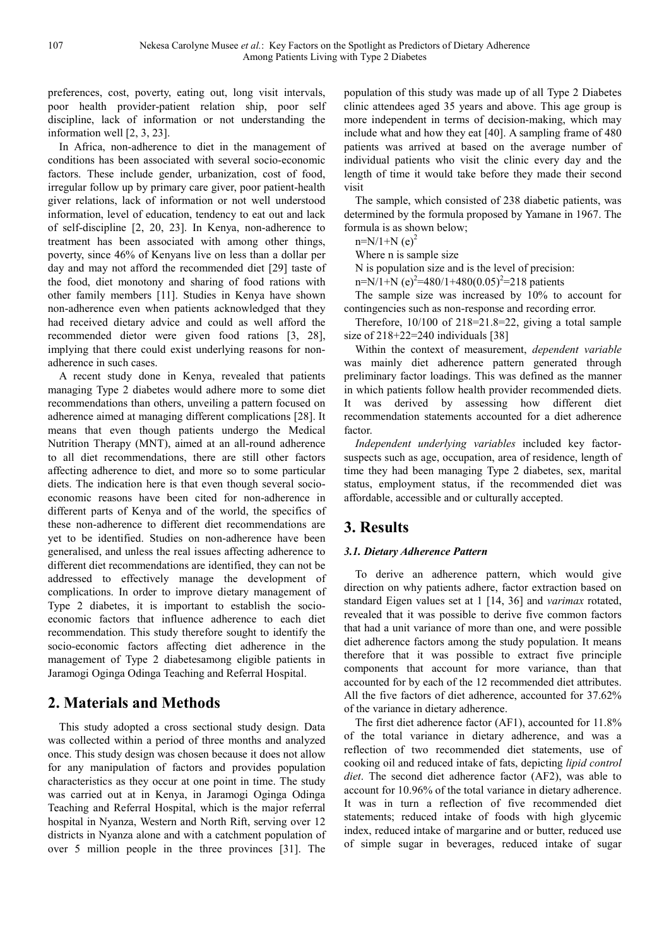preferences, cost, poverty, eating out, long visit intervals, poor health provider-patient relation ship, poor self discipline, lack of information or not understanding the information well [2, 3, 23].

In Africa, non-adherence to diet in the management of conditions has been associated with several socio-economic factors. These include gender, urbanization, cost of food, irregular follow up by primary care giver, poor patient-health giver relations, lack of information or not well understood information, level of education, tendency to eat out and lack of self-discipline [2, 20, 23]. In Kenya, non-adherence to treatment has been associated with among other things, poverty, since 46% of Kenyans live on less than a dollar per day and may not afford the recommended diet [29] taste of the food, diet monotony and sharing of food rations with other family members [11]. Studies in Kenya have shown non-adherence even when patients acknowledged that they had received dietary advice and could as well afford the recommended dietor were given food rations [3, 28], implying that there could exist underlying reasons for nonadherence in such cases.

A recent study done in Kenya, revealed that patients managing Type 2 diabetes would adhere more to some diet recommendations than others, unveiling a pattern focused on adherence aimed at managing different complications [28]. It means that even though patients undergo the Medical Nutrition Therapy (MNT), aimed at an all-round adherence to all diet recommendations, there are still other factors affecting adherence to diet, and more so to some particular diets. The indication here is that even though several socioeconomic reasons have been cited for non-adherence in different parts of Kenya and of the world, the specifics of these non-adherence to different diet recommendations are yet to be identified. Studies on non-adherence have been generalised, and unless the real issues affecting adherence to different diet recommendations are identified, they can not be addressed to effectively manage the development of complications. In order to improve dietary management of Type 2 diabetes, it is important to establish the socioeconomic factors that influence adherence to each diet recommendation. This study therefore sought to identify the socio-economic factors affecting diet adherence in the management of Type 2 diabetesamong eligible patients in Jaramogi Oginga Odinga Teaching and Referral Hospital.

## **2. Materials and Methods**

This study adopted a cross sectional study design. Data was collected within a period of three months and analyzed once. This study design was chosen because it does not allow for any manipulation of factors and provides population characteristics as they occur at one point in time. The study was carried out at in Kenya, in Jaramogi Oginga Odinga Teaching and Referral Hospital, which is the major referral hospital in Nyanza, Western and North Rift, serving over 12 districts in Nyanza alone and with a catchment population of over 5 million people in the three provinces [31]. The

population of this study was made up of all Type 2 Diabetes clinic attendees aged 35 years and above. This age group is more independent in terms of decision-making, which may include what and how they eat [40]. A sampling frame of 480 patients was arrived at based on the average number of individual patients who visit the clinic every day and the length of time it would take before they made their second visit

The sample, which consisted of 238 diabetic patients, was determined by the formula proposed by Yamane in 1967. The formula is as shown below;

 $n=N/1+N$  (e)<sup>2</sup>

Where n is sample size

N is population size and is the level of precision:

n=N/1+N (e)<sup>2</sup>=480/1+480(0.05)<sup>2</sup>=218 patients

The sample size was increased by 10% to account for contingencies such as non-response and recording error.

Therefore, 10/100 of 218=21.8=22, giving a total sample size of  $218+22=240$  individuals [38]

Within the context of measurement, *dependent variable* was mainly diet adherence pattern generated through preliminary factor loadings. This was defined as the manner in which patients follow health provider recommended diets. It was derived by assessing how different diet recommendation statements accounted for a diet adherence factor.

*Independent underlying variables* included key factorsuspects such as age, occupation, area of residence, length of time they had been managing Type 2 diabetes, sex, marital status, employment status, if the recommended diet was affordable, accessible and or culturally accepted.

## **3. Results**

## *3.1. Dietary Adherence Pattern*

To derive an adherence pattern, which would give direction on why patients adhere, factor extraction based on standard Eigen values set at 1 [14, 36] and *varimax* rotated, revealed that it was possible to derive five common factors that had a unit variance of more than one, and were possible diet adherence factors among the study population. It means therefore that it was possible to extract five principle components that account for more variance, than that accounted for by each of the 12 recommended diet attributes. All the five factors of diet adherence, accounted for 37.62% of the variance in dietary adherence.

The first diet adherence factor (AF1), accounted for 11.8% of the total variance in dietary adherence, and was a reflection of two recommended diet statements, use of cooking oil and reduced intake of fats, depicting *lipid control diet*. The second diet adherence factor (AF2), was able to account for 10.96% of the total variance in dietary adherence. It was in turn a reflection of five recommended diet statements; reduced intake of foods with high glycemic index, reduced intake of margarine and or butter, reduced use of simple sugar in beverages, reduced intake of sugar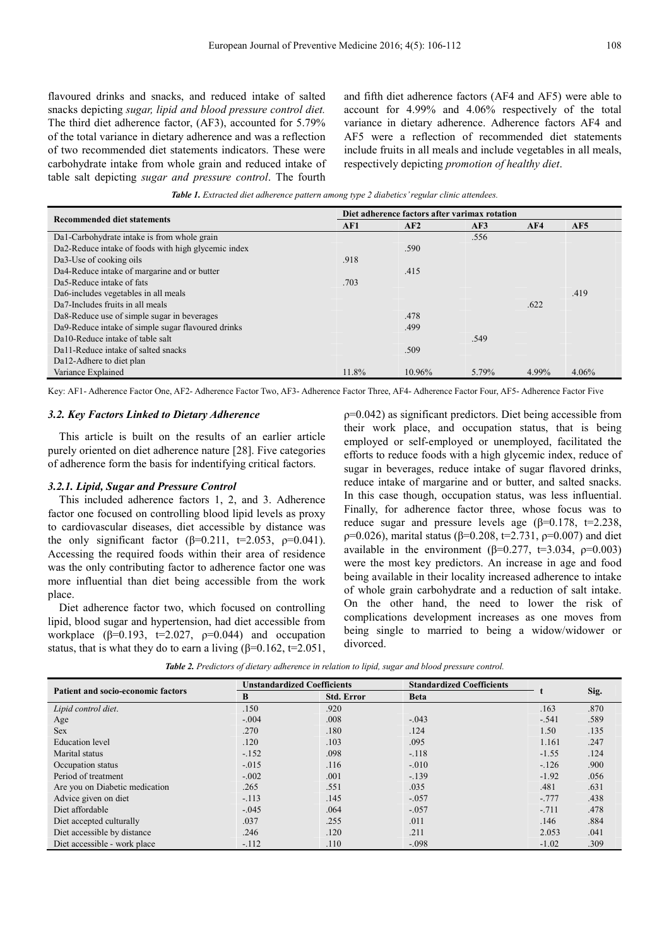flavoured drinks and snacks, and reduced intake of salted snacks depicting *sugar, lipid and blood pressure control diet.* The third diet adherence factor, (AF3), accounted for 5.79% of the total variance in dietary adherence and was a reflection of two recommended diet statements indicators. These were carbohydrate intake from whole grain and reduced intake of table salt depicting *sugar and pressure control*. The fourth

and fifth diet adherence factors (AF4 and AF5) were able to account for 4.99% and 4.06% respectively of the total variance in dietary adherence. Adherence factors AF4 and AF5 were a reflection of recommended diet statements include fruits in all meals and include vegetables in all meals, respectively depicting *promotion of healthy diet*.

*Table 1. Extracted diet adherence pattern among type 2 diabetics' regular clinic attendees.* 

|                                                     | Diet adherence factors after varimax rotation |        |       |       |       |  |
|-----------------------------------------------------|-----------------------------------------------|--------|-------|-------|-------|--|
| <b>Recommended diet statements</b>                  | AF1                                           | AF2    | AF3   | AF4   | AF5   |  |
| Da1-Carbohydrate intake is from whole grain         |                                               |        | .556  |       |       |  |
| Da2-Reduce intake of foods with high glycemic index |                                               | .590   |       |       |       |  |
| Da3-Use of cooking oils                             | .918                                          |        |       |       |       |  |
| Da4-Reduce intake of margarine and or butter        |                                               | .415   |       |       |       |  |
| Da5-Reduce intake of fats                           | .703                                          |        |       |       |       |  |
| Da6-includes vegetables in all meals                |                                               |        |       |       | .419  |  |
| Da7-Includes fruits in all meals                    |                                               |        |       | .622  |       |  |
| Da8-Reduce use of simple sugar in beverages         |                                               | .478   |       |       |       |  |
| Da9-Reduce intake of simple sugar flavoured drinks  |                                               | .499   |       |       |       |  |
| Da10-Reduce intake of table salt                    |                                               |        | .549  |       |       |  |
| Da11-Reduce intake of salted snacks                 |                                               | .509   |       |       |       |  |
| Da12-Adhere to diet plan                            |                                               |        |       |       |       |  |
| Variance Explained                                  | 11.8%                                         | 10.96% | 5.79% | 4.99% | 4.06% |  |

Key: AF1- Adherence Factor One, AF2- Adherence Factor Two, AF3- Adherence Factor Three, AF4- Adherence Factor Four, AF5- Adherence Factor Five

#### *3.2. Key Factors Linked to Dietary Adherence*

This article is built on the results of an earlier article purely oriented on diet adherence nature [28]. Five categories of adherence form the basis for indentifying critical factors.

#### *3.2.1. Lipid, Sugar and Pressure Control*

This included adherence factors 1, 2, and 3. Adherence factor one focused on controlling blood lipid levels as proxy to cardiovascular diseases, diet accessible by distance was the only significant factor ( $\beta$ =0.211, t=2.053,  $\rho$ =0.041). Accessing the required foods within their area of residence was the only contributing factor to adherence factor one was more influential than diet being accessible from the work place.

Diet adherence factor two, which focused on controlling lipid, blood sugar and hypertension, had diet accessible from workplace  $(\beta=0.193, t=2.027, \rho=0.044)$  and occupation status, that is what they do to earn a living  $(\beta=0.162, t=2.051,$   $p=0.042$ ) as significant predictors. Diet being accessible from their work place, and occupation status, that is being employed or self-employed or unemployed, facilitated the efforts to reduce foods with a high glycemic index, reduce of sugar in beverages, reduce intake of sugar flavored drinks, reduce intake of margarine and or butter, and salted snacks. In this case though, occupation status, was less influential. Finally, for adherence factor three, whose focus was to reduce sugar and pressure levels age ( $β=0.178$ ,  $t=2.238$ ,  $ρ=0.026$ ), marital status (β=0.208, t=2.731,  $ρ=0.007$ ) and diet available in the environment ( $β=0.277$ ,  $t=3.034$ ,  $ρ=0.003$ ) were the most key predictors. An increase in age and food being available in their locality increased adherence to intake of whole grain carbohydrate and a reduction of salt intake. On the other hand, the need to lower the risk of complications development increases as one moves from being single to married to being a widow/widower or divorced.

| <b>Patient and socio-economic factors</b> | <b>Unstandardized Coefficients</b> |                   | <b>Standardized Coefficients</b> |         |      |
|-------------------------------------------|------------------------------------|-------------------|----------------------------------|---------|------|
|                                           | B                                  | <b>Std. Error</b> | <b>Beta</b>                      |         | Sig. |
| Lipid control diet.                       | .150                               | .920              |                                  | .163    | .870 |
| Age                                       | $-.004$                            | .008              | $-.043$                          | $-.541$ | .589 |
| <b>Sex</b>                                | .270                               | .180              | .124                             | 1.50    | .135 |
| <b>Education</b> level                    | .120                               | .103              | .095                             | 1.161   | .247 |
| Marital status                            | $-152$                             | .098              | $-.118$                          | $-1.55$ | .124 |
| Occupation status                         | $-.015$                            | .116              | $-.010$                          | $-.126$ | .900 |
| Period of treatment                       | $-.002$                            | .001              | $-.139$                          | $-1.92$ | .056 |
| Are you on Diabetic medication            | .265                               | .551              | .035                             | .481    | .631 |
| Advice given on diet                      | $-.113$                            | .145              | $-.057$                          | $-.777$ | .438 |
| Diet affordable                           | $-.045$                            | .064              | $-.057$                          | $-.711$ | .478 |
| Diet accepted culturally                  | .037                               | .255              | .011                             | .146    | .884 |
| Diet accessible by distance               | .246                               | .120              | .211                             | 2.053   | .041 |
| Diet accessible - work place              | $-.112$                            | .110              | $-.098$                          | $-1.02$ | .309 |

*Table 2. Predictors of dietary adherence in relation to lipid, sugar and blood pressure control.*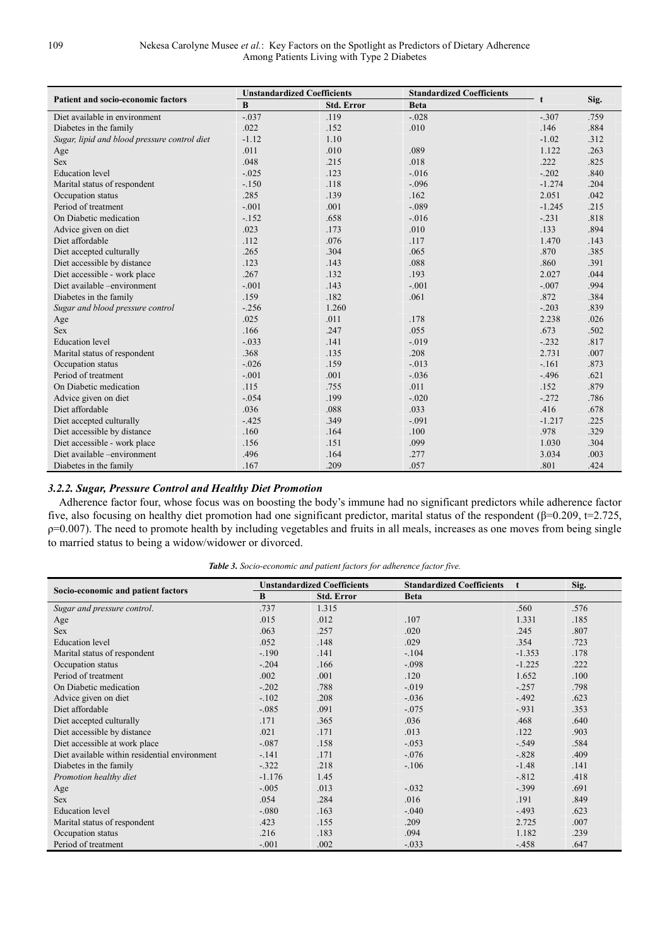|                                              | <b>Unstandardized Coefficients</b> |                   | <b>Standardized Coefficients</b> |              |      |
|----------------------------------------------|------------------------------------|-------------------|----------------------------------|--------------|------|
| <b>Patient and socio-economic factors</b>    | B                                  | <b>Std. Error</b> | <b>Beta</b>                      | $\mathbf{f}$ | Sig. |
| Diet available in environment                | $-.037$                            | .119              | $-.028$                          | $-.307$      | .759 |
| Diabetes in the family                       | .022                               | .152              | .010                             | .146         | .884 |
| Sugar, lipid and blood pressure control diet | $-1.12$                            | 1.10              |                                  | $-1.02$      | .312 |
| Age                                          | .011                               | .010              | .089                             | 1.122        | .263 |
| <b>Sex</b>                                   | .048                               | .215              | .018                             | .222         | .825 |
| <b>Education</b> level                       | $-.025$                            | .123              | $-.016$                          | $-.202$      | .840 |
| Marital status of respondent                 | $-.150$                            | .118              | $-.096$                          | $-1.274$     | .204 |
| Occupation status                            | .285                               | .139              | .162                             | 2.051        | .042 |
| Period of treatment                          | $-.001$                            | .001              | $-.089$                          | $-1.245$     | .215 |
| On Diabetic medication                       | $-152$                             | .658              | $-.016$                          | $-.231$      | .818 |
| Advice given on diet                         | .023                               | .173              | .010                             | .133         | .894 |
| Diet affordable                              | .112                               | .076              | .117                             | 1.470        | .143 |
| Diet accepted culturally                     | .265                               | .304              | .065                             | .870         | .385 |
| Diet accessible by distance                  | .123                               | .143              | .088                             | .860         | .391 |
| Diet accessible - work place                 | .267                               | .132              | .193                             | 2.027        | .044 |
| Diet available -environment                  | $-.001$                            | .143              | $-.001$                          | $-.007$      | .994 |
| Diabetes in the family                       | .159                               | .182              | .061                             | .872         | .384 |
| Sugar and blood pressure control             | $-256$                             | 1.260             |                                  | $-.203$      | .839 |
| Age                                          | .025                               | .011              | .178                             | 2.238        | .026 |
| <b>Sex</b>                                   | .166                               | .247              | .055                             | .673         | .502 |
| <b>Education</b> level                       | $-.033$                            | .141              | $-.019$                          | $-.232$      | .817 |
| Marital status of respondent                 | .368                               | .135              | .208                             | 2.731        | .007 |
| Occupation status                            | $-.026$                            | .159              | $-.013$                          | $-.161$      | .873 |
| Period of treatment                          | $-.001$                            | .001              | $-.036$                          | $-.496$      | .621 |
| On Diabetic medication                       | .115                               | .755              | .011                             | .152         | .879 |
| Advice given on diet                         | $-.054$                            | .199              | $-.020$                          | $-272$       | .786 |
| Diet affordable                              | .036                               | .088              | .033                             | .416         | .678 |
| Diet accepted culturally                     | $-425$                             | .349              | $-.091$                          | $-1.217$     | .225 |
| Diet accessible by distance                  | .160                               | .164              | .100                             | .978         | .329 |
| Diet accessible - work place                 | .156                               | .151              | .099                             | 1.030        | .304 |
| Diet available -environment                  | .496                               | .164              | .277                             | 3.034        | .003 |
| Diabetes in the family                       | .167                               | .209              | .057                             | .801         | .424 |

### *3.2.2. Sugar, Pressure Control and Healthy Diet Promotion*

Adherence factor four, whose focus was on boosting the body's immune had no significant predictors while adherence factor five, also focusing on healthy diet promotion had one significant predictor, marital status of the respondent (β=0.209, t=2.725,  $p=0.007$ ). The need to promote health by including vegetables and fruits in all meals, increases as one moves from being single to married status to being a widow/widower or divorced.

|                                               | <b>Unstandardized Coefficients</b> |                   | <b>Standardized Coefficients</b> | $\mathbf{f}$ | Sig. |
|-----------------------------------------------|------------------------------------|-------------------|----------------------------------|--------------|------|
| Socio-economic and patient factors            | B                                  | <b>Std. Error</b> | <b>Beta</b>                      |              |      |
| Sugar and pressure control.                   | .737                               | 1.315             |                                  | .560         | .576 |
| Age                                           | .015                               | .012              | .107                             | 1.331        | .185 |
| <b>Sex</b>                                    | .063                               | .257              | .020                             | .245         | .807 |
| <b>Education</b> level                        | .052                               | .148              | .029                             | .354         | .723 |
| Marital status of respondent                  | $-.190$                            | .141              | $-.104$                          | $-1.353$     | .178 |
| Occupation status                             | $-.204$                            | .166              | $-.098$                          | $-1.225$     | .222 |
| Period of treatment                           | .002                               | .001              | .120                             | 1.652        | .100 |
| On Diabetic medication                        | $-.202$                            | .788              | $-.019$                          | $-.257$      | .798 |
| Advice given on diet                          | $-.102$                            | .208              | $-.036$                          | $-.492$      | .623 |
| Diet affordable                               | $-.085$                            | .091              | $-.075$                          | $-931$       | .353 |
| Diet accepted culturally                      | .171                               | .365              | .036                             | .468         | .640 |
| Diet accessible by distance                   | .021                               | .171              | .013                             | .122         | .903 |
| Diet accessible at work place                 | $-.087$                            | .158              | $-.053$                          | $-.549$      | .584 |
| Diet available within residential environment | $-141$                             | .171              | $-.076$                          | $-.828$      | .409 |
| Diabetes in the family                        | $-.322$                            | .218              | $-.106$                          | $-1.48$      | .141 |
| Promotion healthy diet                        | $-1.176$                           | 1.45              |                                  | $-.812$      | .418 |
| Age                                           | $-.005$                            | .013              | $-.032$                          | $-.399$      | .691 |
| <b>Sex</b>                                    | .054                               | .284              | .016                             | .191         | .849 |
| <b>Education</b> level                        | $-.080$                            | .163              | $-.040$                          | $-.493$      | .623 |
| Marital status of respondent                  | .423                               | .155              | .209                             | 2.725        | .007 |
| Occupation status                             | .216                               | .183              | .094                             | 1.182        | .239 |
| Period of treatment                           | $-.001$                            | .002              | $-.033$                          | $-.458$      | .647 |

*Table 3. Socio-economic and patient factors for adherence factor five.*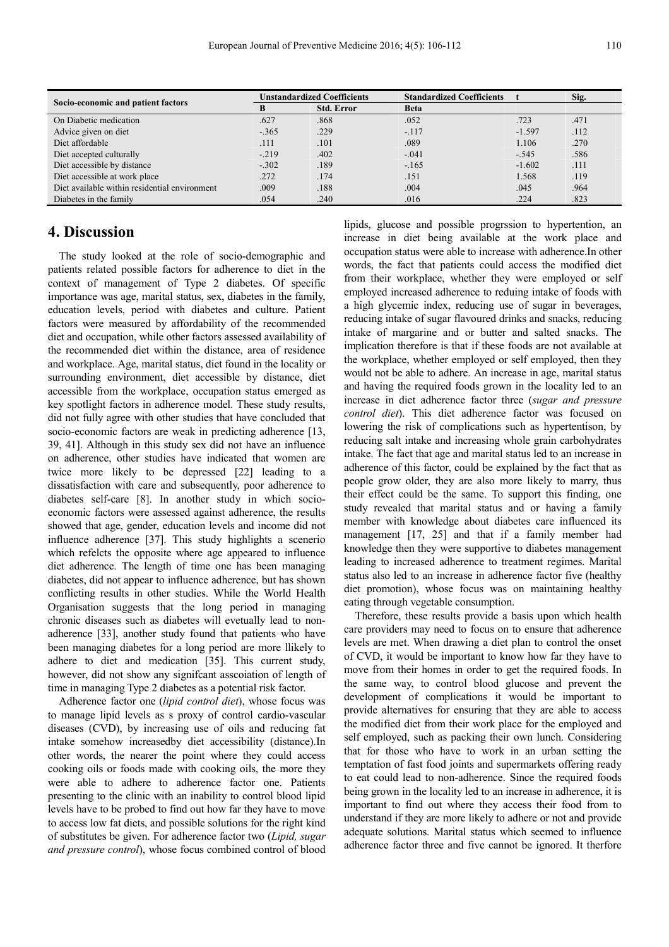| Socio-economic and patient factors            | <b>Unstandardized Coefficients</b> |                   | <b>Standardized Coefficients</b> |          | Sig. |
|-----------------------------------------------|------------------------------------|-------------------|----------------------------------|----------|------|
|                                               |                                    | <b>Std. Error</b> | <b>Beta</b>                      |          |      |
| On Diabetic medication                        | .627                               | .868              | .052                             | .723     | .471 |
| Advice given on diet                          | $-.365$                            | .229              | $-.117$                          | $-1.597$ | .112 |
| Diet affordable                               | .111                               | .101              | .089                             | 1.106    | .270 |
| Diet accepted culturally                      | $-219$                             | .402              | $-.041$                          | $-.545$  | .586 |
| Diet accessible by distance                   | $-.302$                            | .189              | $-.165$                          | $-1.602$ | .111 |
| Diet accessible at work place                 | .272                               | .174              | .151                             | 1.568    | .119 |
| Diet available within residential environment | .009                               | .188              | .004                             | .045     | .964 |
| Diabetes in the family                        | .054                               | .240              | .016                             | .224     | .823 |

## **4. Discussion**

The study looked at the role of socio-demographic and patients related possible factors for adherence to diet in the context of management of Type 2 diabetes. Of specific importance was age, marital status, sex, diabetes in the family, education levels, period with diabetes and culture. Patient factors were measured by affordability of the recommended diet and occupation, while other factors assessed availability of the recommended diet within the distance, area of residence and workplace. Age, marital status, diet found in the locality or surrounding environment, diet accessible by distance, diet accessible from the workplace, occupation status emerged as key spotlight factors in adherence model. These study results, did not fully agree with other studies that have concluded that socio-economic factors are weak in predicting adherence [13, 39, 41]. Although in this study sex did not have an influence on adherence, other studies have indicated that women are twice more likely to be depressed [22] leading to a dissatisfaction with care and subsequently, poor adherence to diabetes self-care [8]. In another study in which socioeconomic factors were assessed against adherence, the results showed that age, gender, education levels and income did not influence adherence [37]. This study highlights a scenerio which refelcts the opposite where age appeared to influence diet adherence. The length of time one has been managing diabetes, did not appear to influence adherence, but has shown conflicting results in other studies. While the World Health Organisation suggests that the long period in managing chronic diseases such as diabetes will evetually lead to nonadherence [33], another study found that patients who have been managing diabetes for a long period are more llikely to adhere to diet and medication [35]. This current study, however, did not show any signifcant asscoiation of length of time in managing Type 2 diabetes as a potential risk factor.

Adherence factor one (*lipid control diet*), whose focus was to manage lipid levels as s proxy of control cardio-vascular diseases (CVD), by increasing use of oils and reducing fat intake somehow increasedby diet accessibility (distance).In other words, the nearer the point where they could access cooking oils or foods made with cooking oils, the more they were able to adhere to adherence factor one. Patients presenting to the clinic with an inability to control blood lipid levels have to be probed to find out how far they have to move to access low fat diets, and possible solutions for the right kind of substitutes be given. For adherence factor two (*Lipid, sugar and pressure control*), whose focus combined control of blood lipids, glucose and possible progrssion to hypertention, an increase in diet being available at the work place and occupation status were able to increase with adherence.In other words, the fact that patients could access the modified diet from their workplace, whether they were employed or self employed increased adherence to reduing intake of foods with a high glycemic index, reducing use of sugar in beverages, reducing intake of sugar flavoured drinks and snacks, reducing intake of margarine and or butter and salted snacks. The implication therefore is that if these foods are not available at the workplace, whether employed or self employed, then they would not be able to adhere. An increase in age, marital status and having the required foods grown in the locality led to an increase in diet adherence factor three (*sugar and pressure control diet*). This diet adherence factor was focused on lowering the risk of complications such as hypertentison, by reducing salt intake and increasing whole grain carbohydrates intake. The fact that age and marital status led to an increase in adherence of this factor, could be explained by the fact that as people grow older, they are also more likely to marry, thus their effect could be the same. To support this finding, one study revealed that marital status and or having a family member with knowledge about diabetes care influenced its management [17, 25] and that if a family member had knowledge then they were supportive to diabetes management leading to increased adherence to treatment regimes. Marital status also led to an increase in adherence factor five (healthy diet promotion), whose focus was on maintaining healthy eating through vegetable consumption.

Therefore, these results provide a basis upon which health care providers may need to focus on to ensure that adherence levels are met. When drawing a diet plan to control the onset of CVD, it would be important to know how far they have to move from their homes in order to get the required foods. In the same way, to control blood glucose and prevent the development of complications it would be important to provide alternatives for ensuring that they are able to access the modified diet from their work place for the employed and self employed, such as packing their own lunch. Considering that for those who have to work in an urban setting the temptation of fast food joints and supermarkets offering ready to eat could lead to non-adherence. Since the required foods being grown in the locality led to an increase in adherence, it is important to find out where they access their food from to understand if they are more likely to adhere or not and provide adequate solutions. Marital status which seemed to influence adherence factor three and five cannot be ignored. It therfore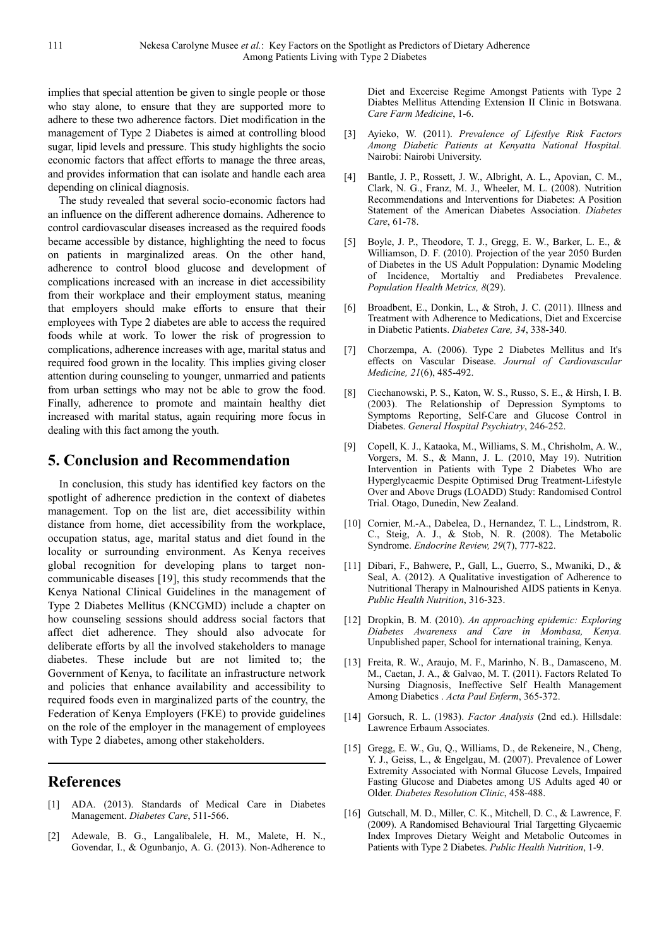implies that special attention be given to single people or those who stay alone, to ensure that they are supported more to adhere to these two adherence factors. Diet modification in the management of Type 2 Diabetes is aimed at controlling blood sugar, lipid levels and pressure. This study highlights the socio economic factors that affect efforts to manage the three areas, and provides information that can isolate and handle each area depending on clinical diagnosis.

The study revealed that several socio-economic factors had an influence on the different adherence domains. Adherence to control cardiovascular diseases increased as the required foods became accessible by distance, highlighting the need to focus on patients in marginalized areas. On the other hand, adherence to control blood glucose and development of complications increased with an increase in diet accessibility from their workplace and their employment status, meaning that employers should make efforts to ensure that their employees with Type 2 diabetes are able to access the required foods while at work. To lower the risk of progression to complications, adherence increases with age, marital status and required food grown in the locality. This implies giving closer attention during counseling to younger, unmarried and patients from urban settings who may not be able to grow the food. Finally, adherence to promote and maintain healthy diet increased with marital status, again requiring more focus in dealing with this fact among the youth.

## **5. Conclusion and Recommendation**

In conclusion, this study has identified key factors on the spotlight of adherence prediction in the context of diabetes management. Top on the list are, diet accessibility within distance from home, diet accessibility from the workplace, occupation status, age, marital status and diet found in the locality or surrounding environment. As Kenya receives global recognition for developing plans to target noncommunicable diseases [19], this study recommends that the Kenya National Clinical Guidelines in the management of Type 2 Diabetes Mellitus (KNCGMD) include a chapter on how counseling sessions should address social factors that affect diet adherence. They should also advocate for deliberate efforts by all the involved stakeholders to manage diabetes. These include but are not limited to; the Government of Kenya, to facilitate an infrastructure network and policies that enhance availability and accessibility to required foods even in marginalized parts of the country, the Federation of Kenya Employers (FKE) to provide guidelines on the role of the employer in the management of employees with Type 2 diabetes, among other stakeholders.

## **References**

- [1] ADA. (2013). Standards of Medical Care in Diabetes Management. *Diabetes Care*, 511-566.
- [2] Adewale, B. G., Langalibalele, H. M., Malete, H. N., Govendar, I., & Ogunbanjo, A. G. (2013). Non-Adherence to

Diet and Excercise Regime Amongst Patients with Type 2 Diabtes Mellitus Attending Extension II Clinic in Botswana. *Care Farm Medicine*, 1-6.

- [3] Ayieko, W. (2011). *Prevalence of Lifestlye Risk Factors Among Diabetic Patients at Kenyatta National Hospital.* Nairobi: Nairobi University.
- [4] Bantle, J. P., Rossett, J. W., Albright, A. L., Apovian, C. M., Clark, N. G., Franz, M. J., Wheeler, M. L. (2008). Nutrition Recommendations and Interventions for Diabetes: A Position Statement of the American Diabetes Association. *Diabetes Care*, 61-78.
- [5] Boyle, J. P., Theodore, T. J., Gregg, E. W., Barker, L. E., & Williamson, D. F. (2010). Projection of the year 2050 Burden of Diabetes in the US Adult Poppulation: Dynamic Modeling of Incidence, Mortaltiy and Prediabetes Prevalence. *Population Health Metrics, 8*(29).
- [6] Broadbent, E., Donkin, L., & Stroh, J. C. (2011). Illness and Treatment with Adherence to Medications, Diet and Excercise in Diabetic Patients. *Diabetes Care, 34*, 338-340.
- [7] Chorzempa, A. (2006). Type 2 Diabetes Mellitus and It's effects on Vascular Disease. *Journal of Cardiovascular Medicine, 21*(6), 485-492.
- [8] Ciechanowski, P. S., Katon, W. S., Russo, S. E., & Hirsh, I. B. (2003). The Relationship of Depression Symptoms to Symptoms Reporting, Self-Care and Glucose Control in Diabetes. *General Hospital Psychiatry*, 246-252.
- [9] Copell, K. J., Kataoka, M., Williams, S. M., Chrisholm, A. W., Vorgers, M. S., & Mann, J. L. (2010, May 19). Nutrition Intervention in Patients with Type 2 Diabetes Who are Hyperglycaemic Despite Optimised Drug Treatment-Lifestyle Over and Above Drugs (LOADD) Study: Randomised Control Trial. Otago, Dunedin, New Zealand.
- [10] Cornier, M.-A., Dabelea, D., Hernandez, T. L., Lindstrom, R. C., Steig, A. J., & Stob, N. R. (2008). The Metabolic Syndrome. *Endocrine Review, 29*(7), 777-822.
- [11] Dibari, F., Bahwere, P., Gall, L., Guerro, S., Mwaniki, D., & Seal, A. (2012). A Qualitative investigation of Adherence to Nutritional Therapy in Malnourished AIDS patients in Kenya. *Public Health Nutrition*, 316-323.
- [12] Dropkin, B. M. (2010). *An approaching epidemic: Exploring Diabetes Awareness and Care in Mombasa, Kenya.* Unpublished paper, School for international training, Kenya.
- [13] Freita, R. W., Araujo, M. F., Marinho, N. B., Damasceno, M. M., Caetan, J. A., & Galvao, M. T. (2011). Factors Related To Nursing Diagnosis, Ineffective Self Health Management Among Diabetics . *Acta Paul Enferm*, 365-372.
- [14] Gorsuch, R. L. (1983). *Factor Analysis* (2nd ed.). Hillsdale: Lawrence Erbaum Associates.
- [15] Gregg, E. W., Gu, Q., Williams, D., de Rekeneire, N., Cheng, Y. J., Geiss, L., & Engelgau, M. (2007). Prevalence of Lower Extremity Associated with Normal Glucose Levels, Impaired Fasting Glucose and Diabetes among US Adults aged 40 or Older. *Diabetes Resolution Clinic*, 458-488.
- [16] Gutschall, M. D., Miller, C. K., Mitchell, D. C., & Lawrence, F. (2009). A Randomised Behavioural Trial Targetting Glycaemic Index Improves Dietary Weight and Metabolic Outcomes in Patients with Type 2 Diabetes. *Public Health Nutrition*, 1-9.